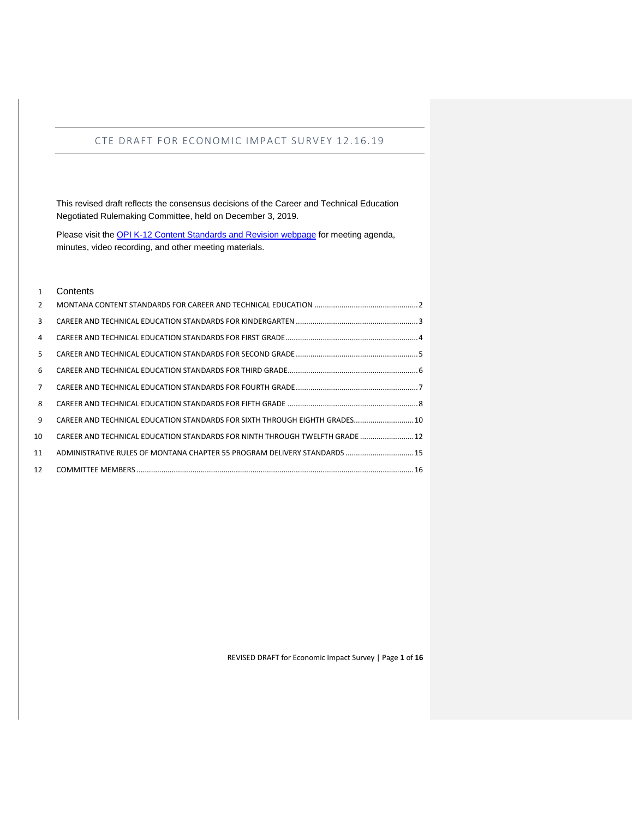This revised draft reflects the consensus decisions of the Career and Technical Education Negotiated Rulemaking Committee, held on December 3, 2019.

Please visit the [OPI K-12 Content Standards and Revision webpage](http://opi.mt.gov/Educators/Teaching-Learning/K-12-Content-Standards-Revision/World-Languages-Standards) for meeting agenda, minutes, video recording, and other meeting materials.

#### Contents

| $\mathcal{P}$  |                                                                              |  |
|----------------|------------------------------------------------------------------------------|--|
| 3              |                                                                              |  |
| $\overline{4}$ |                                                                              |  |
| 5.             |                                                                              |  |
| 6              |                                                                              |  |
| $\overline{7}$ |                                                                              |  |
| 8              |                                                                              |  |
| 9              | CAREER AND TECHNICAL EDUCATION STANDARDS FOR SIXTH THROUGH EIGHTH GRADES 10  |  |
| 10             | CAREER AND TECHNICAL EDUCATION STANDARDS FOR NINTH THROUGH TWELFTH GRADE  12 |  |
| 11             | ADMINISTRATIVE RULES OF MONTANA CHAPTER 55 PROGRAM DELIVERY STANDARDS  15    |  |
| 12             |                                                                              |  |

REVISED DRAFT for Economic Impact Survey | Page **1** of **16**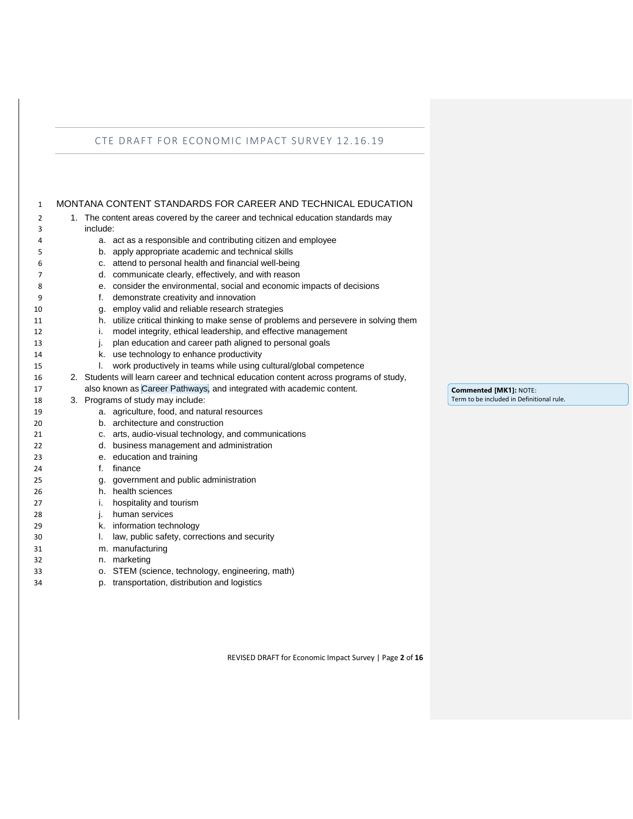<span id="page-1-0"></span>

| $\mathbf{1}$ | MONTANA CONTENT STANDARDS FOR CAREER AND TECHNICAL EDUCATION                            |  |
|--------------|-----------------------------------------------------------------------------------------|--|
| 2            | 1. The content areas covered by the career and technical education standards may        |  |
| 3            | include:                                                                                |  |
| 4            | a. act as a responsible and contributing citizen and employee                           |  |
| 5            | apply appropriate academic and technical skills<br>b.                                   |  |
| 6            | attend to personal health and financial well-being<br>C.                                |  |
| 7            | d. communicate clearly, effectively, and with reason                                    |  |
| 8            | e. consider the environmental, social and economic impacts of decisions                 |  |
| 9            | demonstrate creativity and innovation<br>f.                                             |  |
| 10           | employ valid and reliable research strategies<br>g.                                     |  |
| 11           | h. utilize critical thinking to make sense of problems and persevere in solving them    |  |
| 12           | model integrity, ethical leadership, and effective management<br>i.                     |  |
| 13           | plan education and career path aligned to personal goals<br>j.                          |  |
| 14           | k. use technology to enhance productivity                                               |  |
| 15           | work productively in teams while using cultural/global competence<br>I.                 |  |
| 16           | 2. Students will learn career and technical education content across programs of study, |  |
| 17           | also known as Career Pathways, and integrated with academic content.                    |  |
| 18           | 3. Programs of study may include:                                                       |  |
| 19           | a. agriculture, food, and natural resources                                             |  |
| 20           | b. architecture and construction                                                        |  |
| 21           | c. arts, audio-visual technology, and communications                                    |  |
| 22           | d. business management and administration                                               |  |
| 23           | e. education and training                                                               |  |
| 24           | f.<br>finance                                                                           |  |
| 25           | government and public administration<br>g.                                              |  |
| 26           | h. health sciences                                                                      |  |
| 27           | hospitality and tourism<br>i.                                                           |  |
| 28           | human services<br>j.                                                                    |  |
| 29           | k. information technology                                                               |  |
| 30           | law, public safety, corrections and security<br>I.                                      |  |
| 31           | m. manufacturing                                                                        |  |
| 32           | marketing<br>n.                                                                         |  |
| 33           | o. STEM (science, technology, engineering, math)                                        |  |
| 34           | p. transportation, distribution and logistics                                           |  |

REVISED DRAFT for Economic Impact Survey | Page **2** of **16**

**Commented [MK1]:** NOTE: Term to be included in Definitional rule.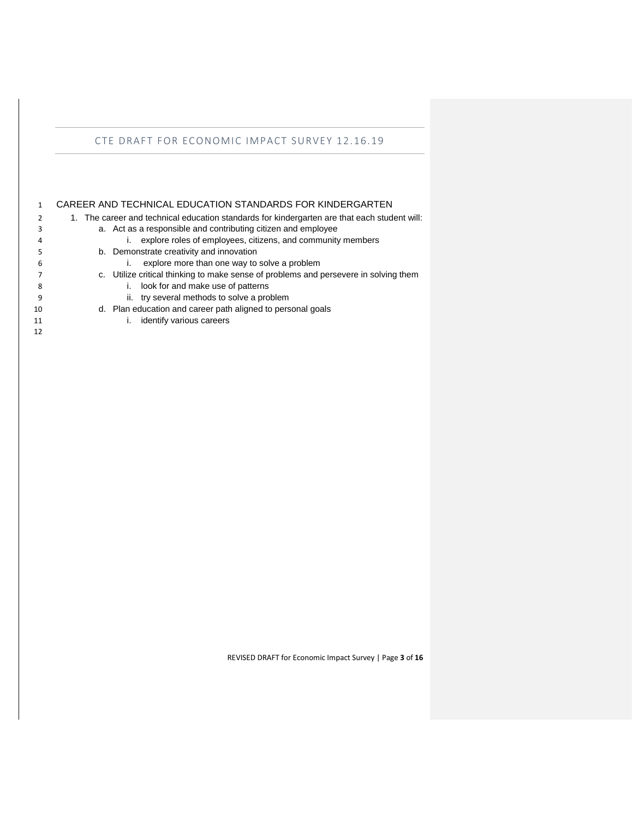<span id="page-2-0"></span>

|    | CAREER AND TECHNICAL EDUCATION STANDARDS FOR KINDERGARTEN                                    |
|----|----------------------------------------------------------------------------------------------|
| 2  | 1. The career and technical education standards for kindergarten are that each student will: |
| 3  | a. Act as a responsible and contributing citizen and employee                                |
| 4  | explore roles of employees, citizens, and community members                                  |
|    | b. Demonstrate creativity and innovation                                                     |
| 6  | explore more than one way to solve a problem                                                 |
|    | c. Utilize critical thinking to make sense of problems and persevere in solving them         |
| 8  | look for and make use of patterns                                                            |
| 9  | ii. try several methods to solve a problem                                                   |
| 10 | d. Plan education and career path aligned to personal goals                                  |
| 11 | identify various careers                                                                     |
| 12 |                                                                                              |
|    |                                                                                              |

REVISED DRAFT for Economic Impact Survey | Page **3** of **16**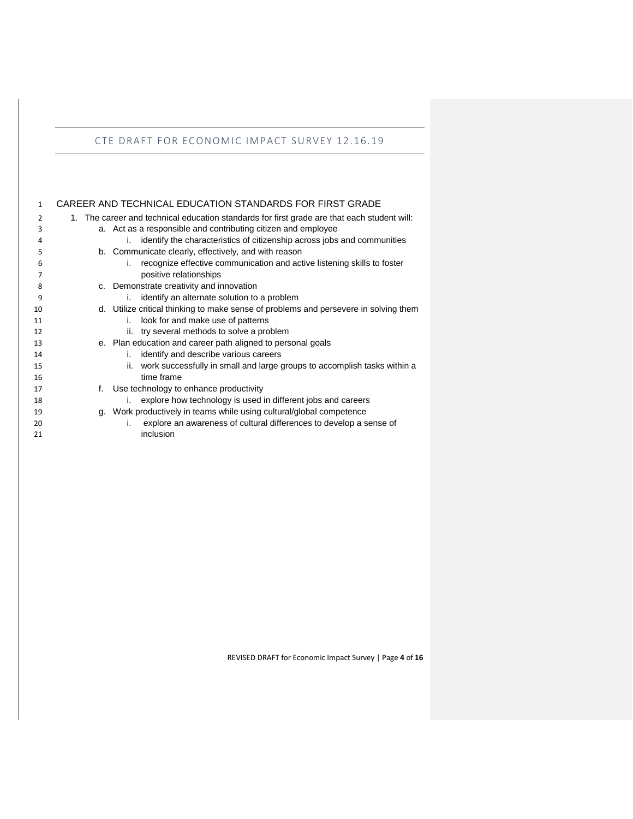<span id="page-3-0"></span>

| 1              | CAREER AND TECHNICAL EDUCATION STANDARDS FOR FIRST GRADE                                    |
|----------------|---------------------------------------------------------------------------------------------|
| $\overline{2}$ | 1. The career and technical education standards for first grade are that each student will: |
| 3              | a. Act as a responsible and contributing citizen and employee                               |
| 4              | identify the characteristics of citizenship across jobs and communities<br>i.               |
| 5              | b. Communicate clearly, effectively, and with reason                                        |
| 6              | recognize effective communication and active listening skills to foster<br>i.               |
|                | positive relationships                                                                      |
| 8              | c. Demonstrate creativity and innovation                                                    |
| 9              | identify an alternate solution to a problem<br>i.                                           |
| 10             | d. Utilize critical thinking to make sense of problems and persevere in solving them        |
| 11             | look for and make use of patterns<br>i.                                                     |
| 12             | ii. try several methods to solve a problem                                                  |
| 13             | e. Plan education and career path aligned to personal goals                                 |
| 14             | identify and describe various careers<br>i.                                                 |
| 15             | work successfully in small and large groups to accomplish tasks within a<br>ii.             |
| 16             | time frame                                                                                  |
| 17             | f. Use technology to enhance productivity                                                   |
| 18             | explore how technology is used in different jobs and careers<br>i.                          |
| 19             | g. Work productively in teams while using cultural/global competence                        |
| 20             | explore an awareness of cultural differences to develop a sense of<br>i.                    |
| 21             | inclusion                                                                                   |

REVISED DRAFT for Economic Impact Survey | Page **4** of **16**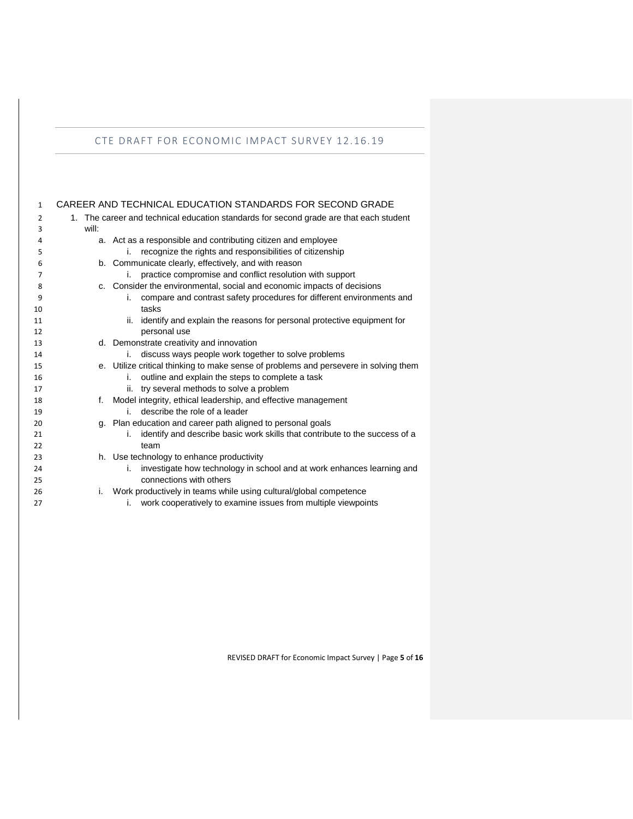<span id="page-4-0"></span>

| $\mathbf{1}$ |       | CAREER AND TECHNICAL EDUCATION STANDARDS FOR SECOND GRADE                              |
|--------------|-------|----------------------------------------------------------------------------------------|
| 2            |       | 1. The career and technical education standards for second grade are that each student |
| 3            | will: |                                                                                        |
| 4            |       | a. Act as a responsible and contributing citizen and employee                          |
| 5            |       | recognize the rights and responsibilities of citizenship<br>i.                         |
| 6            |       | b. Communicate clearly, effectively, and with reason                                   |
| 7            |       | practice compromise and conflict resolution with support<br>i.                         |
| 8            |       | c. Consider the environmental, social and economic impacts of decisions                |
| 9            |       | compare and contrast safety procedures for different environments and<br>İ.            |
| 10           |       | tasks                                                                                  |
| 11           |       | identify and explain the reasons for personal protective equipment for<br>ii.          |
| 12           |       | personal use                                                                           |
| 13           |       | d. Demonstrate creativity and innovation                                               |
| 14           |       | discuss ways people work together to solve problems<br>i.                              |
| 15           |       | e. Utilize critical thinking to make sense of problems and persevere in solving them   |
| 16           |       | outline and explain the steps to complete a task<br>i.                                 |
| 17           |       | try several methods to solve a problem<br>ii.                                          |
| 18           | f.    | Model integrity, ethical leadership, and effective management                          |
| 19           |       | describe the role of a leader<br>i.                                                    |
| 20           |       | g. Plan education and career path aligned to personal goals                            |
| 21           |       | identify and describe basic work skills that contribute to the success of a<br>i.      |
| 22           |       | team                                                                                   |
| 23           |       | h. Use technology to enhance productivity                                              |
| 24           |       | investigate how technology in school and at work enhances learning and<br>İ.           |
| 25           |       | connections with others                                                                |
| 26           | i.    | Work productively in teams while using cultural/global competence                      |
| 27           |       | work cooperatively to examine issues from multiple viewpoints<br>i.                    |

REVISED DRAFT for Economic Impact Survey | Page **5** of **16**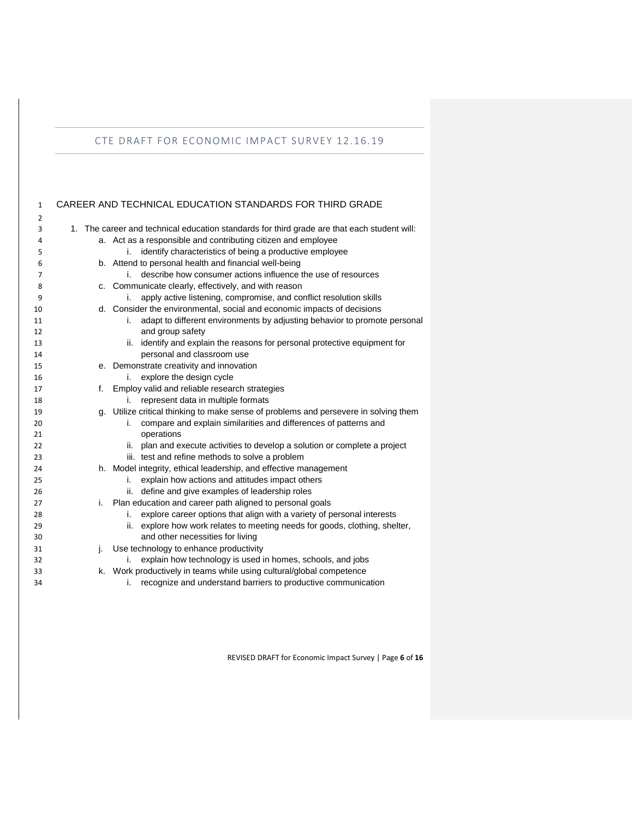<span id="page-5-0"></span>

| $\mathbf{1}$   |    | CAREER AND TECHNICAL EDUCATION STANDARDS FOR THIRD GRADE                                    |
|----------------|----|---------------------------------------------------------------------------------------------|
| $\overline{2}$ |    |                                                                                             |
| 3              |    | 1. The career and technical education standards for third grade are that each student will: |
| 4              |    | a. Act as a responsible and contributing citizen and employee                               |
| 5              |    | identify characteristics of being a productive employee<br>i.                               |
| 6              |    | b. Attend to personal health and financial well-being                                       |
| 7              |    | describe how consumer actions influence the use of resources<br>i.                          |
| 8              |    | c. Communicate clearly, effectively, and with reason                                        |
| 9              |    | apply active listening, compromise, and conflict resolution skills                          |
| 10             |    | d. Consider the environmental, social and economic impacts of decisions                     |
| 11             |    | adapt to different environments by adjusting behavior to promote personal<br>i.             |
| 12             |    | and group safety                                                                            |
| 13             |    | ii. identify and explain the reasons for personal protective equipment for                  |
| 14             |    | personal and classroom use                                                                  |
| 15             |    | e. Demonstrate creativity and innovation                                                    |
| 16             |    | explore the design cycle<br>i.                                                              |
| 17             | f. | Employ valid and reliable research strategies                                               |
| 18             |    | represent data in multiple formats<br>i.                                                    |
| 19             |    | g. Utilize critical thinking to make sense of problems and persevere in solving them        |
| 20             |    | compare and explain similarities and differences of patterns and<br>i.                      |
| 21             |    | operations                                                                                  |
| 22             |    | plan and execute activities to develop a solution or complete a project<br>ii.              |
| 23             |    | iii. test and refine methods to solve a problem                                             |
| 24             |    | h. Model integrity, ethical leadership, and effective management                            |
| 25             |    | explain how actions and attitudes impact others<br>i.                                       |
| 26             |    | define and give examples of leadership roles<br>ii.                                         |
| 27             | i. | Plan education and career path aligned to personal goals                                    |
| 28             |    | explore career options that align with a variety of personal interests<br>i.                |
| 29             |    | explore how work relates to meeting needs for goods, clothing, shelter,<br>ii.              |
| 30             |    | and other necessities for living                                                            |
| 31             | j. | Use technology to enhance productivity                                                      |
| 32             |    | explain how technology is used in homes, schools, and jobs<br>ı.                            |
| 33             |    | k. Work productively in teams while using cultural/global competence                        |
| 34             |    | recognize and understand barriers to productive communication<br>i.                         |

REVISED DRAFT for Economic Impact Survey | Page **6** of **16**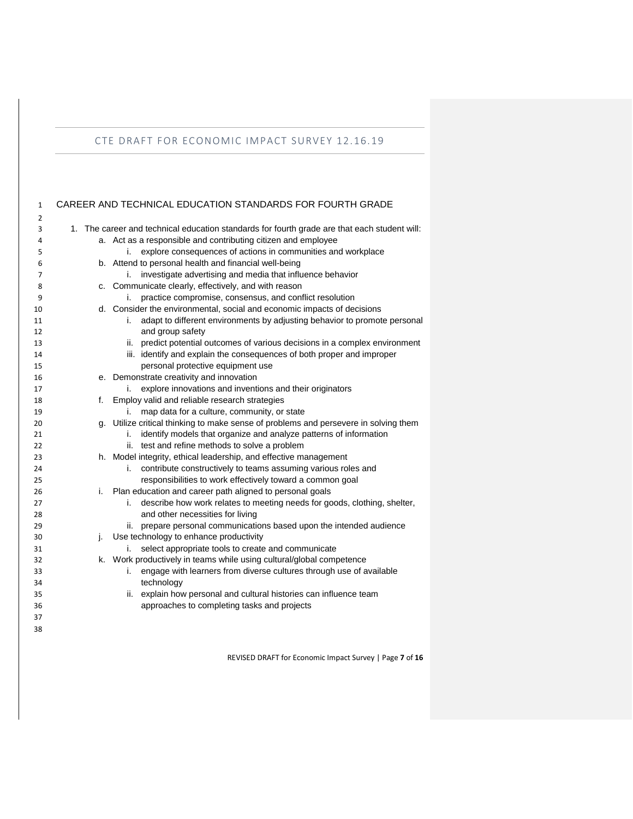<span id="page-6-0"></span>

| 1        |    | CAREER AND TECHNICAL EDUCATION STANDARDS FOR FOURTH GRADE                                                                                 |
|----------|----|-------------------------------------------------------------------------------------------------------------------------------------------|
| 2        |    |                                                                                                                                           |
| 3        | 1. | The career and technical education standards for fourth grade are that each student will:                                                 |
| 4        |    | a. Act as a responsible and contributing citizen and employee                                                                             |
| 5        |    | explore consequences of actions in communities and workplace<br>i.                                                                        |
| 6        |    | b. Attend to personal health and financial well-being                                                                                     |
| 7        |    | investigate advertising and media that influence behavior<br>i. -                                                                         |
| 8        |    | c. Communicate clearly, effectively, and with reason                                                                                      |
| 9        |    | practice compromise, consensus, and conflict resolution<br>i.                                                                             |
| 10       |    | d. Consider the environmental, social and economic impacts of decisions                                                                   |
| 11       |    | adapt to different environments by adjusting behavior to promote personal<br>i.                                                           |
| 12       |    | and group safety                                                                                                                          |
| 13       |    | ii. predict potential outcomes of various decisions in a complex environment                                                              |
| 14       |    | iii. identify and explain the consequences of both proper and improper                                                                    |
| 15       |    | personal protective equipment use                                                                                                         |
| 16       |    | e. Demonstrate creativity and innovation                                                                                                  |
| 17       |    | explore innovations and inventions and their originators<br>i.                                                                            |
| 18       | f. | Employ valid and reliable research strategies                                                                                             |
| 19       |    | map data for a culture, community, or state<br>i.<br>g. Utilize critical thinking to make sense of problems and persevere in solving them |
| 20       |    | i.                                                                                                                                        |
| 21<br>22 |    | identify models that organize and analyze patterns of information<br>ii. test and refine methods to solve a problem                       |
| 23       |    | h. Model integrity, ethical leadership, and effective management                                                                          |
| 24       |    | contribute constructively to teams assuming various roles and<br>i.                                                                       |
| 25       |    | responsibilities to work effectively toward a common goal                                                                                 |
| 26       | i. | Plan education and career path aligned to personal goals                                                                                  |
| 27       |    | describe how work relates to meeting needs for goods, clothing, shelter,<br>i.                                                            |
| 28       |    | and other necessities for living                                                                                                          |
| 29       |    | prepare personal communications based upon the intended audience<br>ii.                                                                   |
| 30       | j. | Use technology to enhance productivity                                                                                                    |
| 31       |    | select appropriate tools to create and communicate<br>i.                                                                                  |
| 32       |    | k. Work productively in teams while using cultural/global competence                                                                      |
| 33       |    | engage with learners from diverse cultures through use of available<br>i.                                                                 |
| 34       |    | technology                                                                                                                                |
| 35       |    | ii. explain how personal and cultural histories can influence team                                                                        |
| 36       |    | approaches to completing tasks and projects                                                                                               |
| 37       |    |                                                                                                                                           |
| 38       |    |                                                                                                                                           |

REVISED DRAFT for Economic Impact Survey | Page **7** of **16**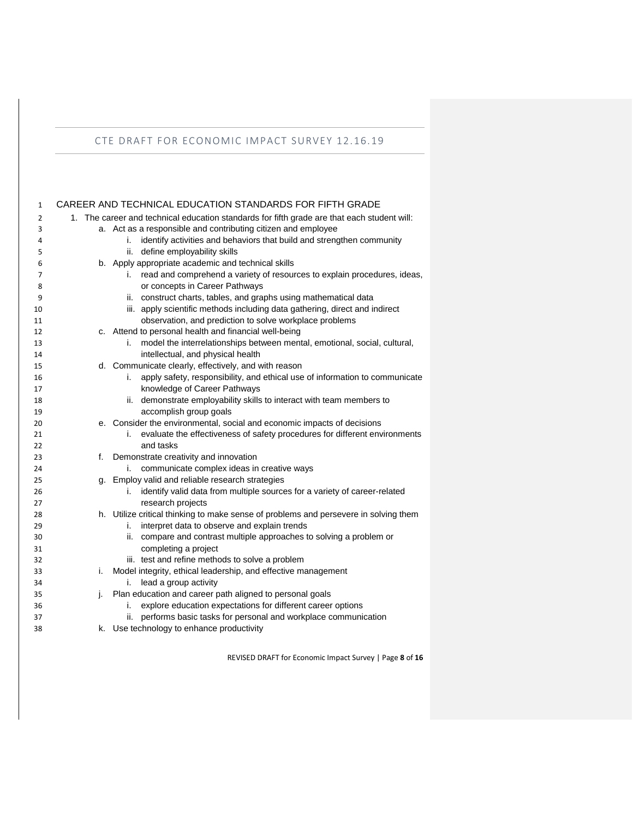<span id="page-7-0"></span>

| 1              |    | CAREER AND TECHNICAL EDUCATION STANDARDS FOR FIFTH GRADE                                          |
|----------------|----|---------------------------------------------------------------------------------------------------|
| $\overline{2}$ |    | 1. The career and technical education standards for fifth grade are that each student will:       |
| 3              |    | a. Act as a responsible and contributing citizen and employee                                     |
| 4              |    | identify activities and behaviors that build and strengthen community<br>i.                       |
| 5              |    | ii. define employability skills                                                                   |
| 6              |    | b. Apply appropriate academic and technical skills                                                |
| 7              |    | read and comprehend a variety of resources to explain procedures, ideas,<br>i.                    |
| 8              |    | or concepts in Career Pathways                                                                    |
| 9              |    | construct charts, tables, and graphs using mathematical data<br>ii.                               |
| 10             |    | iii. apply scientific methods including data gathering, direct and indirect                       |
| 11             |    | observation, and prediction to solve workplace problems                                           |
| 12             |    | c. Attend to personal health and financial well-being                                             |
| 13             |    | model the interrelationships between mental, emotional, social, cultural,<br>i.                   |
| 14             |    | intellectual, and physical health                                                                 |
| 15             |    | d. Communicate clearly, effectively, and with reason                                              |
| 16             |    | apply safety, responsibility, and ethical use of information to communicate<br>i.                 |
| 17             |    | knowledge of Career Pathways                                                                      |
| 18             |    | ii. demonstrate employability skills to interact with team members to                             |
| 19             |    | accomplish group goals<br>e. Consider the environmental, social and economic impacts of decisions |
| 20<br>21       |    | evaluate the effectiveness of safety procedures for different environments<br>i.                  |
| 22             |    | and tasks                                                                                         |
| 23             | f. | Demonstrate creativity and innovation                                                             |
| 24             |    | communicate complex ideas in creative ways<br>i.                                                  |
| 25             |    | g. Employ valid and reliable research strategies                                                  |
| 26             |    | identify valid data from multiple sources for a variety of career-related<br>i.                   |
| 27             |    | research projects                                                                                 |
| 28             |    | h. Utilize critical thinking to make sense of problems and persevere in solving them              |
| 29             |    | interpret data to observe and explain trends<br>i.                                                |
| 30             |    | ii. compare and contrast multiple approaches to solving a problem or                              |
| 31             |    | completing a project                                                                              |
| 32             |    | iii. test and refine methods to solve a problem                                                   |
| 33             | i. | Model integrity, ethical leadership, and effective management                                     |
| 34             |    | lead a group activity<br>i.                                                                       |
| 35             | j. | Plan education and career path aligned to personal goals                                          |
| 36             |    | explore education expectations for different career options<br>i.                                 |
| 37             |    | performs basic tasks for personal and workplace communication                                     |
| 38             |    | k. Use technology to enhance productivity                                                         |

REVISED DRAFT for Economic Impact Survey | Page **8** of **16**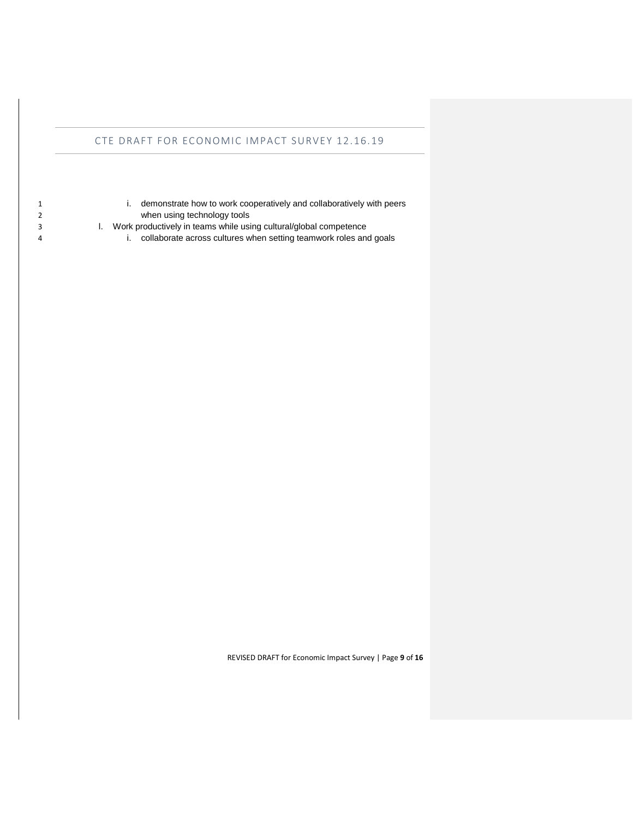- 
- i. demonstrate how to work cooperatively and collaboratively with peers when using technology tools
- l. Work productively in teams while using cultural/global competence
- i. collaborate across cultures when setting teamwork roles and goals

REVISED DRAFT for Economic Impact Survey | Page **9** of **16**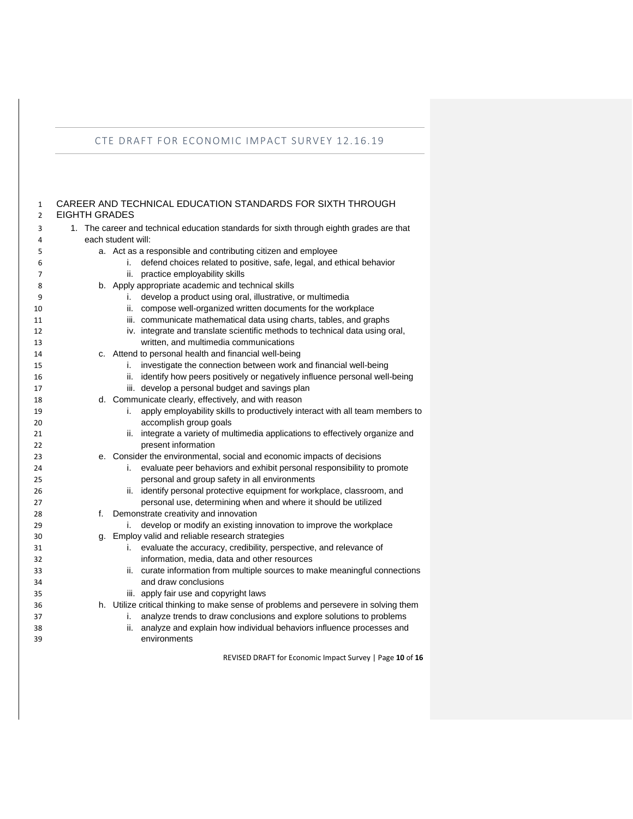<span id="page-9-0"></span>CAREER AND TECHNICAL EDUCATION STANDARDS FOR SIXTH THROUGH

| $\overline{2}$ | <b>EIGHTH GRADES</b> |                                                                                                                   |  |
|----------------|----------------------|-------------------------------------------------------------------------------------------------------------------|--|
| 3              |                      | 1. The career and technical education standards for sixth through eighth grades are that                          |  |
| 4              |                      | each student will:                                                                                                |  |
| 5              |                      | a. Act as a responsible and contributing citizen and employee                                                     |  |
| 6              |                      | defend choices related to positive, safe, legal, and ethical behavior<br>i.                                       |  |
| $\overline{7}$ |                      | ii. practice employability skills                                                                                 |  |
| 8              |                      | b. Apply appropriate academic and technical skills                                                                |  |
| 9              |                      | develop a product using oral, illustrative, or multimedia<br>i.                                                   |  |
| 10             |                      | ii. compose well-organized written documents for the workplace                                                    |  |
| 11             |                      | iii. communicate mathematical data using charts, tables, and graphs                                               |  |
| 12             |                      | iv. integrate and translate scientific methods to technical data using oral,                                      |  |
| 13             |                      | written, and multimedia communications                                                                            |  |
| 14             |                      | c. Attend to personal health and financial well-being                                                             |  |
| 15             |                      | investigate the connection between work and financial well-being<br>i.                                            |  |
| 16             |                      | ii. identify how peers positively or negatively influence personal well-being                                     |  |
| 17             |                      | iii. develop a personal budget and savings plan                                                                   |  |
| 18             |                      | d. Communicate clearly, effectively, and with reason                                                              |  |
| 19             |                      | apply employability skills to productively interact with all team members to<br>i.                                |  |
| 20             |                      | accomplish group goals                                                                                            |  |
| 21             |                      | ii. integrate a variety of multimedia applications to effectively organize and                                    |  |
| 22             |                      | present information                                                                                               |  |
| 23             |                      | e. Consider the environmental, social and economic impacts of decisions                                           |  |
| 24             |                      | evaluate peer behaviors and exhibit personal responsibility to promote<br>i.                                      |  |
| 25             |                      | personal and group safety in all environments                                                                     |  |
| 26             |                      | identify personal protective equipment for workplace, classroom, and<br>ii.                                       |  |
| 27             |                      | personal use, determining when and where it should be utilized                                                    |  |
| 28             | f.                   | Demonstrate creativity and innovation                                                                             |  |
| 29             |                      | develop or modify an existing innovation to improve the workplace<br>i.                                           |  |
| 30             |                      | g. Employ valid and reliable research strategies<br>i.                                                            |  |
| 31<br>32       |                      | evaluate the accuracy, credibility, perspective, and relevance of<br>information, media, data and other resources |  |
| 33             |                      | ii. curate information from multiple sources to make meaningful connections                                       |  |
| 34             |                      | and draw conclusions                                                                                              |  |
| 35             |                      | iii. apply fair use and copyright laws                                                                            |  |
| 36             |                      | h. Utilize critical thinking to make sense of problems and persevere in solving them                              |  |
| 37             |                      | analyze trends to draw conclusions and explore solutions to problems<br>i.                                        |  |
| 38             |                      | analyze and explain how individual behaviors influence processes and<br>ii.                                       |  |
| 39             |                      | environments                                                                                                      |  |
|                |                      |                                                                                                                   |  |

REVISED DRAFT for Economic Impact Survey | Page **10** of **16**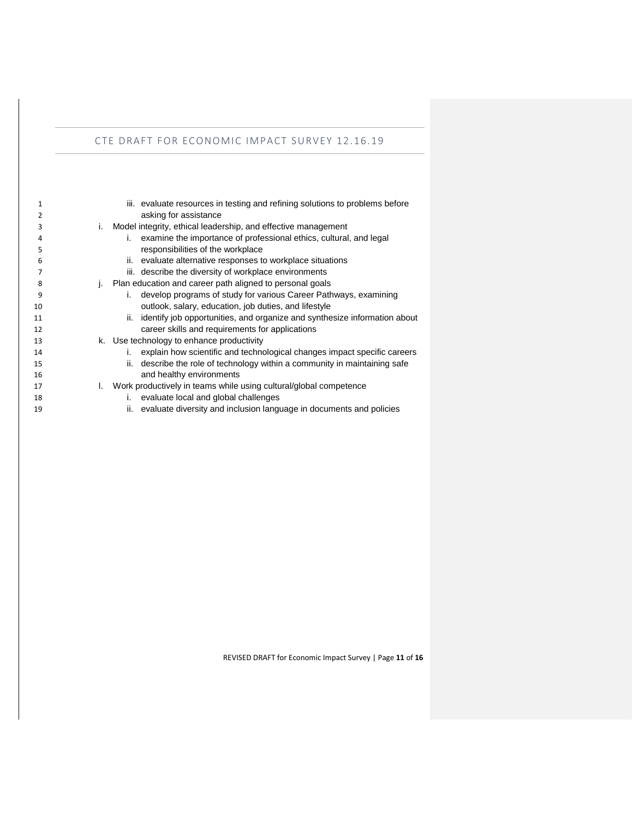| 1  | iii. evaluate resources in testing and refining solutions to problems before   |
|----|--------------------------------------------------------------------------------|
| 2  | asking for assistance                                                          |
| 3  | Model integrity, ethical leadership, and effective management<br>i.            |
| 4  | examine the importance of professional ethics, cultural, and legal<br>L.       |
| 5  | responsibilities of the workplace                                              |
| 6  | evaluate alternative responses to workplace situations<br>н.                   |
|    | iii. describe the diversity of workplace environments                          |
| 8  | Plan education and career path aligned to personal goals                       |
| 9  | develop programs of study for various Career Pathways, examining<br>i.         |
| 10 | outlook, salary, education, job duties, and lifestyle                          |
| 11 | ii. identify job opportunities, and organize and synthesize information about  |
| 12 | career skills and requirements for applications                                |
| 13 | k. Use technology to enhance productivity                                      |
| 14 | explain how scientific and technological changes impact specific careers<br>i. |
| 15 | describe the role of technology within a community in maintaining safe<br>н.   |
| 16 | and healthy environments                                                       |
| 17 | Work productively in teams while using cultural/global competence<br>L.        |
| 18 | evaluate local and global challenges<br>i.                                     |
| 19 | ii. evaluate diversity and inclusion language in documents and policies        |

REVISED DRAFT for Economic Impact Survey | Page **11** of **16**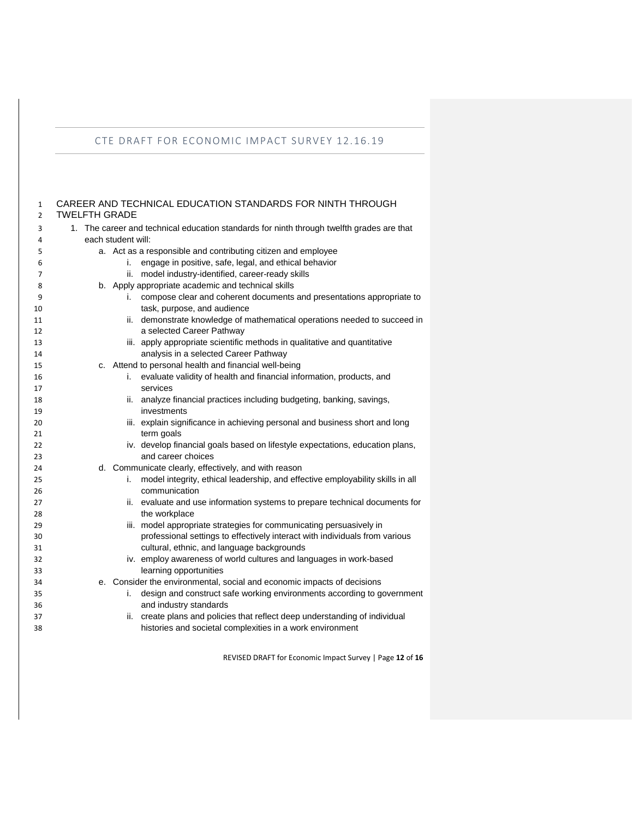<span id="page-11-0"></span>CAREER AND TECHNICAL EDUCATION STANDARDS FOR NINTH THROUGH

| $\overline{2}$ | <b>TWELFTH GRADE</b>                                                                      |                                                                                      |  |
|----------------|-------------------------------------------------------------------------------------------|--------------------------------------------------------------------------------------|--|
| 3              | 1. The career and technical education standards for ninth through twelfth grades are that |                                                                                      |  |
| 4              |                                                                                           | each student will:                                                                   |  |
| 5              |                                                                                           | a. Act as a responsible and contributing citizen and employee                        |  |
| 6              |                                                                                           | engage in positive, safe, legal, and ethical behavior<br>i.                          |  |
| $\overline{7}$ |                                                                                           | ii. model industry-identified, career-ready skills                                   |  |
| 8              |                                                                                           | b. Apply appropriate academic and technical skills                                   |  |
| 9              |                                                                                           | compose clear and coherent documents and presentations appropriate to<br>i.          |  |
| 10             |                                                                                           | task, purpose, and audience                                                          |  |
| 11             |                                                                                           | ii. demonstrate knowledge of mathematical operations needed to succeed in            |  |
| 12             |                                                                                           | a selected Career Pathway                                                            |  |
| 13             |                                                                                           | iii. apply appropriate scientific methods in qualitative and quantitative            |  |
| 14             |                                                                                           | analysis in a selected Career Pathway                                                |  |
| 15             |                                                                                           | c. Attend to personal health and financial well-being                                |  |
| 16             |                                                                                           | i. evaluate validity of health and financial information, products, and              |  |
| 17             |                                                                                           | services                                                                             |  |
| 18             |                                                                                           | ii. analyze financial practices including budgeting, banking, savings,               |  |
| 19             |                                                                                           | investments                                                                          |  |
| 20             |                                                                                           | iii. explain significance in achieving personal and business short and long          |  |
| 21             |                                                                                           | term goals                                                                           |  |
| 22             |                                                                                           | iv. develop financial goals based on lifestyle expectations, education plans,        |  |
| 23             |                                                                                           | and career choices                                                                   |  |
| 24             |                                                                                           | d. Communicate clearly, effectively, and with reason                                 |  |
| 25             |                                                                                           | model integrity, ethical leadership, and effective employability skills in all<br>i. |  |
| 26             |                                                                                           | communication                                                                        |  |
| 27             |                                                                                           | ii. evaluate and use information systems to prepare technical documents for          |  |
| 28             |                                                                                           | the workplace                                                                        |  |
| 29             |                                                                                           | iii. model appropriate strategies for communicating persuasively in                  |  |
| 30             |                                                                                           | professional settings to effectively interact with individuals from various          |  |
| 31             |                                                                                           | cultural, ethnic, and language backgrounds                                           |  |
| 32             |                                                                                           | iv. employ awareness of world cultures and languages in work-based                   |  |
| 33             |                                                                                           | learning opportunities                                                               |  |
| 34             |                                                                                           | e. Consider the environmental, social and economic impacts of decisions              |  |
| 35             |                                                                                           | design and construct safe working environments according to government<br>i.         |  |
| 36             |                                                                                           | and industry standards                                                               |  |
| 37             |                                                                                           | ii. create plans and policies that reflect deep understanding of individual          |  |
| 38             |                                                                                           | histories and societal complexities in a work environment                            |  |
|                |                                                                                           |                                                                                      |  |

REVISED DRAFT for Economic Impact Survey | Page **12** of **16**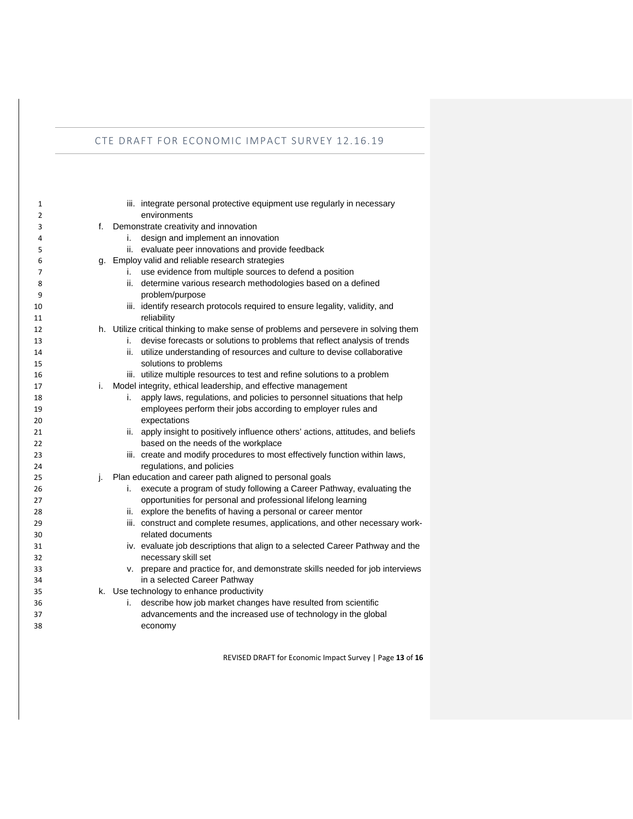| 1  |    | iii. integrate personal protective equipment use regularly in necessary              |
|----|----|--------------------------------------------------------------------------------------|
| 2  |    | environments                                                                         |
| 3  | f. | Demonstrate creativity and innovation                                                |
| 4  |    | i.<br>design and implement an innovation                                             |
| 5  |    | ii. evaluate peer innovations and provide feedback                                   |
| 6  |    | g. Employ valid and reliable research strategies                                     |
| 7  |    | use evidence from multiple sources to defend a position<br>i.                        |
| 8  |    | ii. determine various research methodologies based on a defined                      |
| 9  |    | problem/purpose                                                                      |
| 10 |    | iii. identify research protocols required to ensure legality, validity, and          |
| 11 |    | reliability                                                                          |
| 12 |    | h. Utilize critical thinking to make sense of problems and persevere in solving them |
| 13 |    | devise forecasts or solutions to problems that reflect analysis of trends<br>i.      |
| 14 |    | utilize understanding of resources and culture to devise collaborative<br>ii.        |
| 15 |    | solutions to problems                                                                |
| 16 |    | iii. utilize multiple resources to test and refine solutions to a problem            |
| 17 | i. | Model integrity, ethical leadership, and effective management                        |
| 18 |    | apply laws, regulations, and policies to personnel situations that help<br>i.        |
| 19 |    | employees perform their jobs according to employer rules and                         |
| 20 |    | expectations                                                                         |
| 21 |    | ii. apply insight to positively influence others' actions, attitudes, and beliefs    |
| 22 |    | based on the needs of the workplace                                                  |
| 23 |    | iii. create and modify procedures to most effectively function within laws,          |
| 24 |    | regulations, and policies                                                            |
| 25 | j. | Plan education and career path aligned to personal goals                             |
| 26 |    | execute a program of study following a Career Pathway, evaluating the<br>i.          |
| 27 |    | opportunities for personal and professional lifelong learning                        |
| 28 |    | ii. explore the benefits of having a personal or career mentor                       |
| 29 |    | iii. construct and complete resumes, applications, and other necessary work-         |
| 30 |    | related documents                                                                    |
| 31 |    | iv. evaluate job descriptions that align to a selected Career Pathway and the        |
| 32 |    | necessary skill set                                                                  |
| 33 |    | v. prepare and practice for, and demonstrate skills needed for job interviews        |
| 34 |    | in a selected Career Pathway                                                         |
| 35 |    | k. Use technology to enhance productivity                                            |
| 36 |    | describe how job market changes have resulted from scientific<br>i.                  |
| 37 |    | advancements and the increased use of technology in the global                       |
| 38 |    | economy                                                                              |
|    |    |                                                                                      |

REVISED DRAFT for Economic Impact Survey | Page **13** of **16**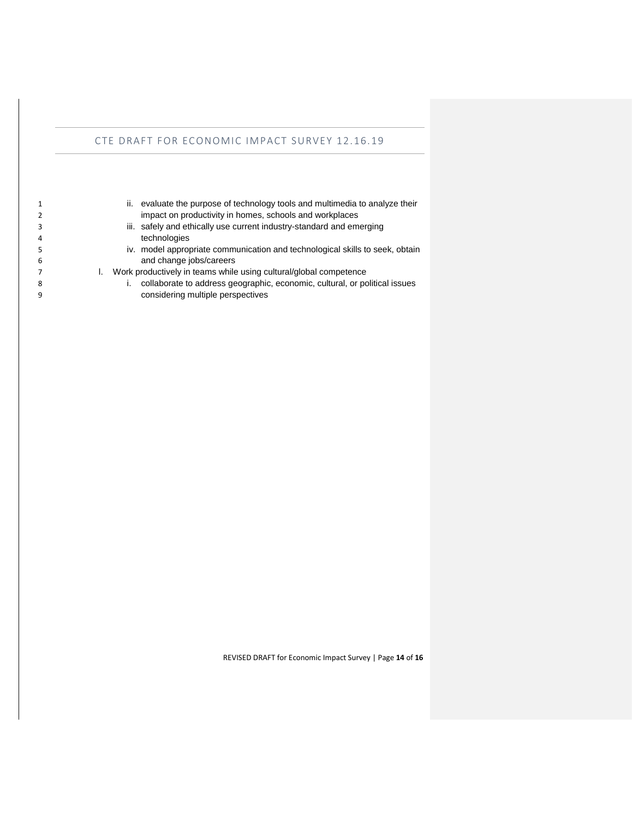|   | evaluate the purpose of technology tools and multimedia to analyze their<br>ii. |
|---|---------------------------------------------------------------------------------|
|   | impact on productivity in homes, schools and workplaces                         |
|   | iii. safely and ethically use current industry-standard and emerging            |
| 4 | technologies                                                                    |
| 5 | iv. model appropriate communication and technological skills to seek, obtain    |
| 6 | and change jobs/careers                                                         |
|   | Work productively in teams while using cultural/global competence               |
| 8 | collaborate to address geographic, economic, cultural, or political issues      |
| 9 | considering multiple perspectives                                               |

REVISED DRAFT for Economic Impact Survey | Page **14** of **16**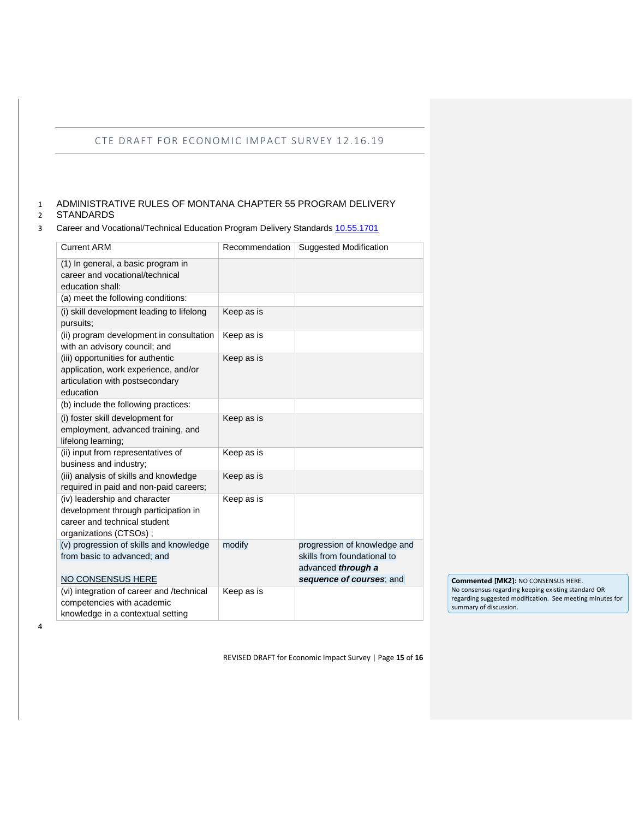# <span id="page-14-0"></span>1 ADMINISTRATIVE RULES OF MONTANA CHAPTER 55 PROGRAM DELIVERY

### 2 STANDARDS

#### 3 Career and Vocational/Technical Education Program Delivery Standards [10.55.1701](http://mtrules.org/gateway/ruleno.asp?RN=10%2E55%2E1701)

| <b>Current ARM</b>                                                                                                              | Recommendation | Suggested Modification                                                                                        |
|---------------------------------------------------------------------------------------------------------------------------------|----------------|---------------------------------------------------------------------------------------------------------------|
| (1) In general, a basic program in<br>career and vocational/technical<br>education shall:                                       |                |                                                                                                               |
| (a) meet the following conditions:                                                                                              |                |                                                                                                               |
| (i) skill development leading to lifelong<br>pursuits:                                                                          | Keep as is     |                                                                                                               |
| (ii) program development in consultation<br>with an advisory council; and                                                       | Keep as is     |                                                                                                               |
| (iii) opportunities for authentic<br>application, work experience, and/or<br>articulation with postsecondary<br>education       | Keep as is     |                                                                                                               |
| (b) include the following practices:                                                                                            |                |                                                                                                               |
| (i) foster skill development for<br>employment, advanced training, and<br>lifelong learning;                                    | Keep as is     |                                                                                                               |
| (ii) input from representatives of<br>business and industry;                                                                    | Keep as is     |                                                                                                               |
| (iii) analysis of skills and knowledge<br>required in paid and non-paid careers;                                                | Keep as is     |                                                                                                               |
| (iv) leadership and character<br>development through participation in<br>career and technical student<br>organizations (CTSOs); | Keep as is     |                                                                                                               |
| (v) progression of skills and knowledge<br>from basic to advanced; and<br><b>NO CONSENSUS HERE</b>                              | modify         | progression of knowledge and<br>skills from foundational to<br>advanced through a<br>sequence of courses; and |
| (vi) integration of career and /technical                                                                                       | Keep as is     |                                                                                                               |
| competencies with academic                                                                                                      |                |                                                                                                               |
| knowledge in a contextual setting                                                                                               |                |                                                                                                               |

**Commented [MK2]:** NO CONSENSUS HERE. No consensus regarding keeping existing standard OR regarding suggested modification. See meeting minutes for summary of discussion.

4

REVISED DRAFT for Economic Impact Survey | Page **15** of **16**